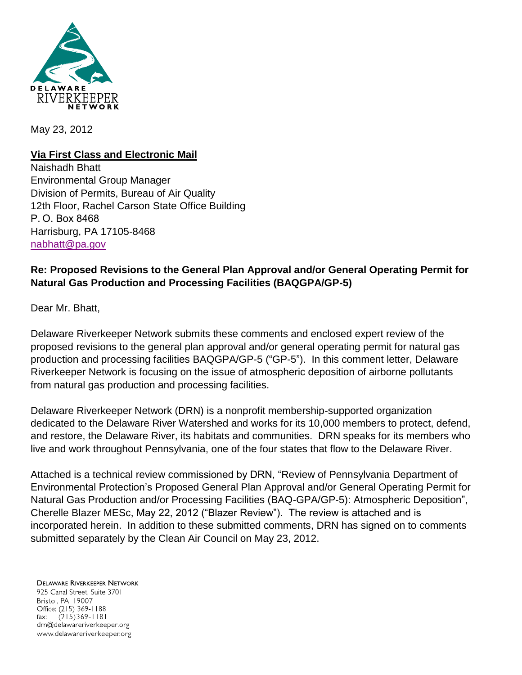

May 23, 2012

**Via First Class and Electronic Mail**

Naishadh Bhatt Environmental Group Manager Division of Permits, Bureau of Air Quality 12th Floor, Rachel Carson State Office Building P. O. Box 8468 Harrisburg, PA 17105-8468 [nabhatt@pa.gov](mailto:nabhatt@pa.gov)

## **Re: Proposed Revisions to the General Plan Approval and/or General Operating Permit for Natural Gas Production and Processing Facilities (BAQGPA/GP-5)**

Dear Mr. Bhatt,

Delaware Riverkeeper Network submits these comments and enclosed expert review of the proposed revisions to the general plan approval and/or general operating permit for natural gas production and processing facilities BAQGPA/GP-5 ("GP-5"). In this comment letter, Delaware Riverkeeper Network is focusing on the issue of atmospheric deposition of airborne pollutants from natural gas production and processing facilities.

Delaware Riverkeeper Network (DRN) is a nonprofit membership-supported organization dedicated to the Delaware River Watershed and works for its 10,000 members to protect, defend, and restore, the Delaware River, its habitats and communities. DRN speaks for its members who live and work throughout Pennsylvania, one of the four states that flow to the Delaware River.

Attached is a technical review commissioned by DRN, "Review of Pennsylvania Department of Environmental Protection's Proposed General Plan Approval and/or General Operating Permit for Natural Gas Production and/or Processing Facilities (BAQ-GPA/GP-5): Atmospheric Deposition", Cherelle Blazer MESc, May 22, 2012 ("Blazer Review"). The review is attached and is incorporated herein. In addition to these submitted comments, DRN has signed on to comments submitted separately by the Clean Air Council on May 23, 2012.

**DELAWARE RIVERKEEPER NETWORK** 925 Canal Street, Suite 3701 Bristol, PA 19007 Office: (215) 369-1188 fax:  $(215)369 - 1181$ drn@delawareriverkeeper.org www.delawareriverkeeper.org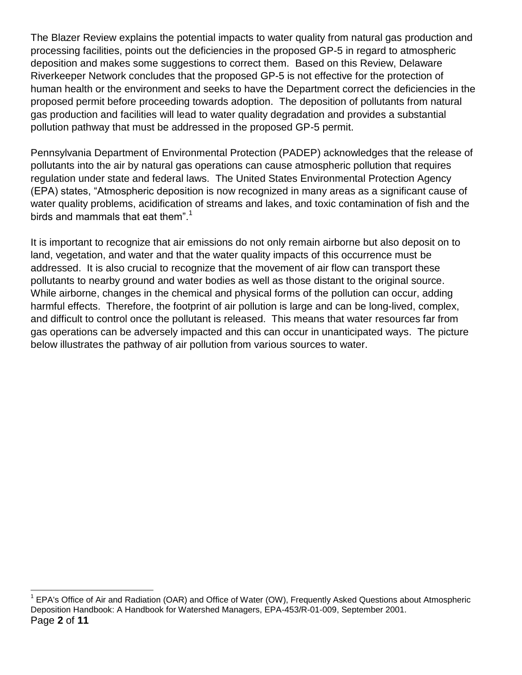The Blazer Review explains the potential impacts to water quality from natural gas production and processing facilities, points out the deficiencies in the proposed GP-5 in regard to atmospheric deposition and makes some suggestions to correct them. Based on this Review, Delaware Riverkeeper Network concludes that the proposed GP-5 is not effective for the protection of human health or the environment and seeks to have the Department correct the deficiencies in the proposed permit before proceeding towards adoption. The deposition of pollutants from natural gas production and facilities will lead to water quality degradation and provides a substantial pollution pathway that must be addressed in the proposed GP-5 permit.

Pennsylvania Department of Environmental Protection (PADEP) acknowledges that the release of pollutants into the air by natural gas operations can cause atmospheric pollution that requires regulation under state and federal laws. The United States Environmental Protection Agency (EPA) states, "Atmospheric deposition is now recognized in many areas as a significant cause of water quality problems, acidification of streams and lakes, and toxic contamination of fish and the birds and mammals that eat them".<sup>1</sup>

It is important to recognize that air emissions do not only remain airborne but also deposit on to land, vegetation, and water and that the water quality impacts of this occurrence must be addressed. It is also crucial to recognize that the movement of air flow can transport these pollutants to nearby ground and water bodies as well as those distant to the original source. While airborne, changes in the chemical and physical forms of the pollution can occur, adding harmful effects. Therefore, the footprint of air pollution is large and can be long-lived, complex, and difficult to control once the pollutant is released. This means that water resources far from gas operations can be adversely impacted and this can occur in unanticipated ways. The picture below illustrates the pathway of air pollution from various sources to water.

 $\overline{a}$ 

Page **2** of **11** <sup>1</sup> EPA's Office of Air and Radiation (OAR) and Office of Water (OW), Frequently Asked Questions about Atmospheric Deposition Handbook: A Handbook for Watershed Managers, EPA-453/R-01-009, September 2001.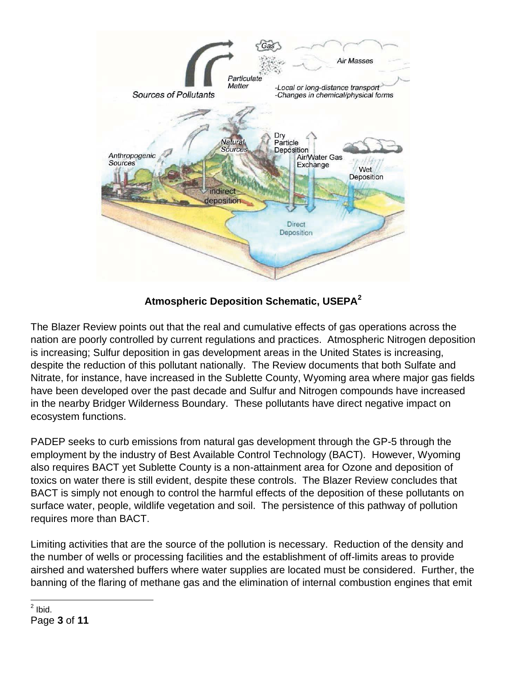

**Atmospheric Deposition Schematic, USEPA<sup>2</sup>**

The Blazer Review points out that the real and cumulative effects of gas operations across the nation are poorly controlled by current regulations and practices. Atmospheric Nitrogen deposition is increasing; Sulfur deposition in gas development areas in the United States is increasing, despite the reduction of this pollutant nationally. The Review documents that both Sulfate and Nitrate, for instance, have increased in the Sublette County, Wyoming area where major gas fields have been developed over the past decade and Sulfur and Nitrogen compounds have increased in the nearby Bridger Wilderness Boundary. These pollutants have direct negative impact on ecosystem functions.

PADEP seeks to curb emissions from natural gas development through the GP-5 through the employment by the industry of Best Available Control Technology (BACT). However, Wyoming also requires BACT yet Sublette County is a non-attainment area for Ozone and deposition of toxics on water there is still evident, despite these controls. The Blazer Review concludes that BACT is simply not enough to control the harmful effects of the deposition of these pollutants on surface water, people, wildlife vegetation and soil. The persistence of this pathway of pollution requires more than BACT.

Limiting activities that are the source of the pollution is necessary. Reduction of the density and the number of wells or processing facilities and the establishment of off-limits areas to provide airshed and watershed buffers where water supplies are located must be considered. Further, the banning of the flaring of methane gas and the elimination of internal combustion engines that emit

Page **3** of **11** <u>2</u><br>Libid.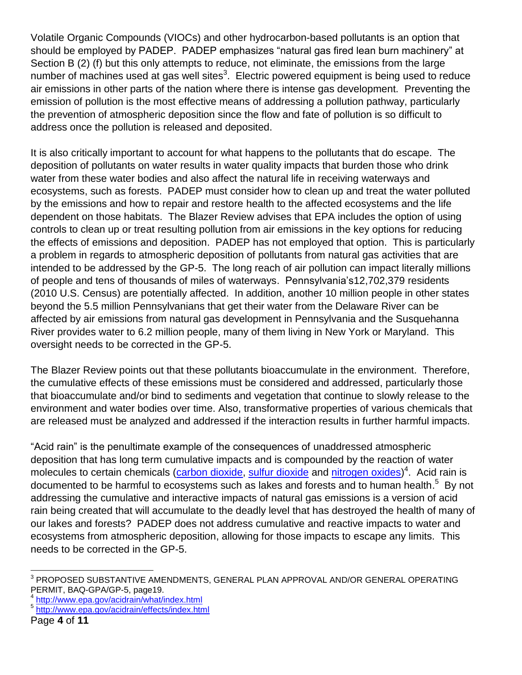Volatile Organic Compounds (VIOCs) and other hydrocarbon-based pollutants is an option that should be employed by PADEP. PADEP emphasizes "natural gas fired lean burn machinery" at Section B (2) (f) but this only attempts to reduce, not eliminate, the emissions from the large number of machines used at gas well sites<sup>3</sup>. Electric powered equipment is being used to reduce air emissions in other parts of the nation where there is intense gas development. Preventing the emission of pollution is the most effective means of addressing a pollution pathway, particularly the prevention of atmospheric deposition since the flow and fate of pollution is so difficult to address once the pollution is released and deposited.

It is also critically important to account for what happens to the pollutants that do escape. The deposition of pollutants on water results in water quality impacts that burden those who drink water from these water bodies and also affect the natural life in receiving waterways and ecosystems, such as forests. PADEP must consider how to clean up and treat the water polluted by the emissions and how to repair and restore health to the affected ecosystems and the life dependent on those habitats. The Blazer Review advises that EPA includes the option of using controls to clean up or treat resulting pollution from air emissions in the key options for reducing the effects of emissions and deposition. PADEP has not employed that option. This is particularly a problem in regards to atmospheric deposition of pollutants from natural gas activities that are intended to be addressed by the GP-5. The long reach of air pollution can impact literally millions of people and tens of thousands of miles of waterways. Pennsylvania's12,702,379 residents (2010 U.S. Census) are potentially affected. In addition, another 10 million people in other states beyond the 5.5 million Pennsylvanians that get their water from the Delaware River can be affected by air emissions from natural gas development in Pennsylvania and the Susquehanna River provides water to 6.2 million people, many of them living in New York or Maryland. This oversight needs to be corrected in the GP-5.

The Blazer Review points out that these pollutants bioaccumulate in the environment. Therefore, the cumulative effects of these emissions must be considered and addressed, particularly those that bioaccumulate and/or bind to sediments and vegetation that continue to slowly release to the environment and water bodies over time. Also, transformative properties of various chemicals that are released must be analyzed and addressed if the interaction results in further harmful impacts.

"Acid rain" is the penultimate example of the consequences of unaddressed atmospheric deposition that has long term cumulative impacts and is compounded by the reaction of water molecules to certain chemicals [\(carbon dioxide,](http://en.wikipedia.org/wiki/Carbon_dioxide) [sulfur dioxide](http://en.wikipedia.org/wiki/Sulfur_dioxide) and [nitrogen oxides\)](http://en.wikipedia.org/wiki/Nitrogen_oxide)<sup>4</sup>. Acid rain is documented to be harmful to ecosystems such as lakes and forests and to human health. $^5\,$  By not addressing the cumulative and interactive impacts of natural gas emissions is a version of acid rain being created that will accumulate to the deadly level that has destroyed the health of many of our lakes and forests? PADEP does not address cumulative and reactive impacts to water and ecosystems from atmospheric deposition, allowing for those impacts to escape any limits. This needs to be corrected in the GP-5.

 $\overline{a}$  $^3$  PROPOSED SUBSTANTIVE AMENDMENTS, GENERAL PLAN APPROVAL AND/OR GENERAL OPERATING PERMIT, BAQ-GPA/GP-5, page19.

<sup>4</sup> <http://www.epa.gov/acidrain/what/index.html>

<sup>5</sup> <http://www.epa.gov/acidrain/effects/index.html>

Page **4** of **11**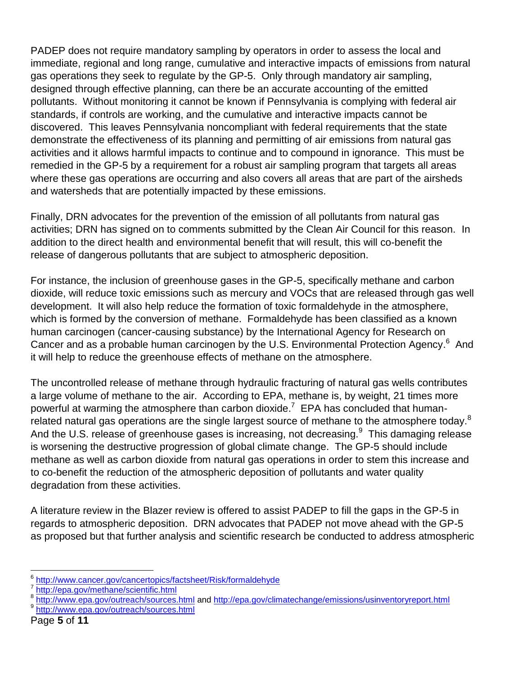PADEP does not require mandatory sampling by operators in order to assess the local and immediate, regional and long range, cumulative and interactive impacts of emissions from natural gas operations they seek to regulate by the GP-5. Only through mandatory air sampling, designed through effective planning, can there be an accurate accounting of the emitted pollutants. Without monitoring it cannot be known if Pennsylvania is complying with federal air standards, if controls are working, and the cumulative and interactive impacts cannot be discovered. This leaves Pennsylvania noncompliant with federal requirements that the state demonstrate the effectiveness of its planning and permitting of air emissions from natural gas activities and it allows harmful impacts to continue and to compound in ignorance. This must be remedied in the GP-5 by a requirement for a robust air sampling program that targets all areas where these gas operations are occurring and also covers all areas that are part of the airsheds and watersheds that are potentially impacted by these emissions.

Finally, DRN advocates for the prevention of the emission of all pollutants from natural gas activities; DRN has signed on to comments submitted by the Clean Air Council for this reason. In addition to the direct health and environmental benefit that will result, this will co-benefit the release of dangerous pollutants that are subject to atmospheric deposition.

For instance, the inclusion of greenhouse gases in the GP-5, specifically methane and carbon dioxide, will reduce toxic emissions such as mercury and VOCs that are released through gas well development. It will also help reduce the formation of toxic formaldehyde in the atmosphere, which is formed by the conversion of methane. Formaldehyde has been classified as a known human carcinogen (cancer-causing substance) by the International Agency for Research on Cancer and as a probable human carcinogen by the U.S. Environmental Protection Agency.<sup>6</sup> And it will help to reduce the greenhouse effects of methane on the atmosphere.

The uncontrolled release of methane through hydraulic fracturing of natural gas wells contributes a large volume of methane to the air. According to EPA, methane is, by weight, 21 times more powerful at warming the atmosphere than carbon dioxide.<sup>7</sup> EPA has concluded that humanrelated natural gas operations are the single largest source of methane to the atmosphere today.<sup>8</sup> And the U.S. release of greenhouse gases is increasing, not decreasing. $^9$  This damaging release is worsening the destructive progression of global climate change. The GP-5 should include methane as well as carbon dioxide from natural gas operations in order to stem this increase and to co-benefit the reduction of the atmospheric deposition of pollutants and water quality degradation from these activities.

A literature review in the Blazer review is offered to assist PADEP to fill the gaps in the GP-5 in regards to atmospheric deposition. DRN advocates that PADEP not move ahead with the GP-5 as proposed but that further analysis and scientific research be conducted to address atmospheric

9 <http://www.epa.gov/outreach/sources.html>

 $\overline{a}$ <sup>6</sup> <http://www.cancer.gov/cancertopics/factsheet/Risk/formaldehyde>

<sup>7</sup> <http://epa.gov/methane/scientific.html>

<sup>&</sup>lt;sup>8</sup> <http://www.epa.gov/outreach/sources.html> and<http://epa.gov/climatechange/emissions/usinventoryreport.html>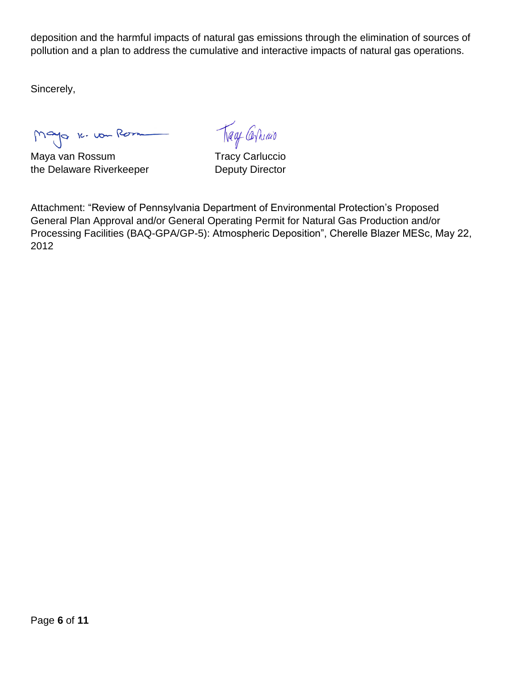deposition and the harmful impacts of natural gas emissions through the elimination of sources of pollution and a plan to address the cumulative and interactive impacts of natural gas operations.

Sincerely,

Mayo 16. vou Rom

Maya van Rossum **Tracy Carluccio** the Delaware Riverkeeper **Deputy Director** 

Trage Corricao

Attachment: "Review of Pennsylvania Department of Environmental Protection's Proposed General Plan Approval and/or General Operating Permit for Natural Gas Production and/or Processing Facilities (BAQ-GPA/GP-5): Atmospheric Deposition", Cherelle Blazer MESc, May 22, 2012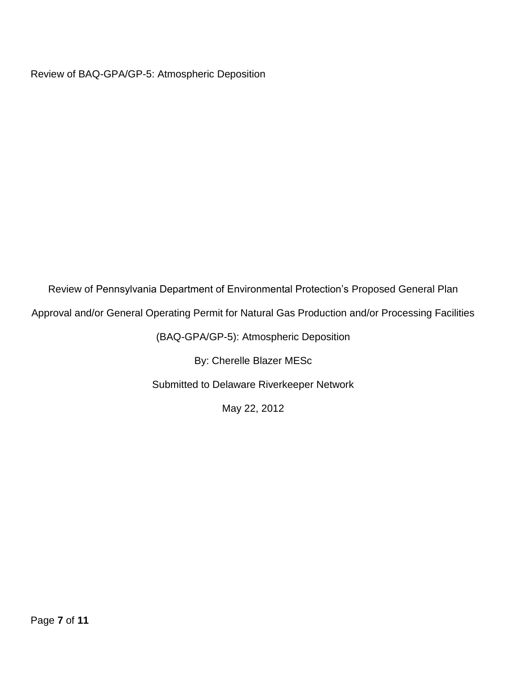Review of BAQ-GPA/GP-5: Atmospheric Deposition

Review of Pennsylvania Department of Environmental Protection's Proposed General Plan

Approval and/or General Operating Permit for Natural Gas Production and/or Processing Facilities

(BAQ-GPA/GP-5): Atmospheric Deposition

By: Cherelle Blazer MESc

Submitted to Delaware Riverkeeper Network

May 22, 2012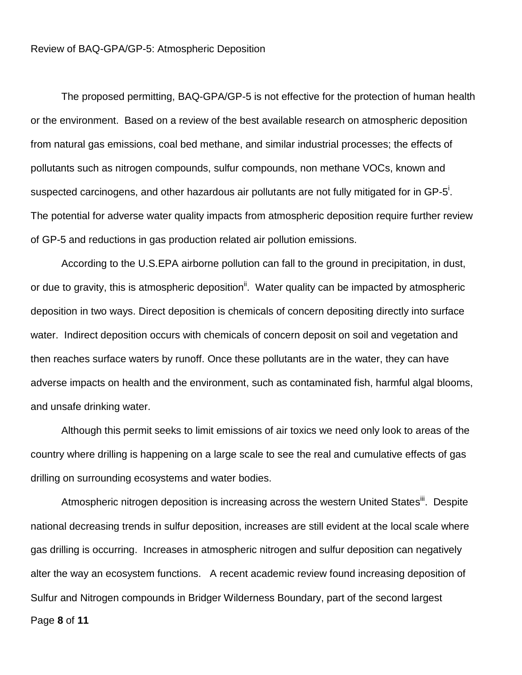The proposed permitting, BAQ-GPA/GP-5 is not effective for the protection of human health or the environment. Based on a review of the best available research on atmospheric deposition from natural gas emissions, coal bed methane, and similar industrial processes; the effects of pollutants such as nitrogen compounds, sulfur compounds, non methane VOCs, known and suspected carcinogens, and other hazardous air pollutants are not fully mitigated for in GP-5<sup>i</sup>. The potential for adverse water quality impacts from atmospheric deposition require further review of GP-5 and reductions in gas production related air pollution emissions.

According to the U.S.EPA airborne pollution can fall to the ground in precipitation, in dust, or due to gravity, this is atmospheric deposition<sup>ii</sup>. Water quality can be impacted by atmospheric deposition in two ways. Direct deposition is chemicals of concern depositing directly into surface water. Indirect deposition occurs with chemicals of concern deposit on soil and vegetation and then reaches surface waters by runoff. Once these pollutants are in the water, they can have adverse impacts on health and the environment, such as contaminated fish, harmful algal blooms, and unsafe drinking water.

Although this permit seeks to limit emissions of air toxics we need only look to areas of the country where drilling is happening on a large scale to see the real and cumulative effects of gas drilling on surrounding ecosystems and water bodies.

Page **8** of **11** Atmospheric nitrogen deposition is increasing across the western United States<sup>iii</sup>. Despite national decreasing trends in sulfur deposition, increases are still evident at the local scale where gas drilling is occurring. Increases in atmospheric nitrogen and sulfur deposition can negatively alter the way an ecosystem functions. A recent academic review found increasing deposition of Sulfur and Nitrogen compounds in Bridger Wilderness Boundary, part of the second largest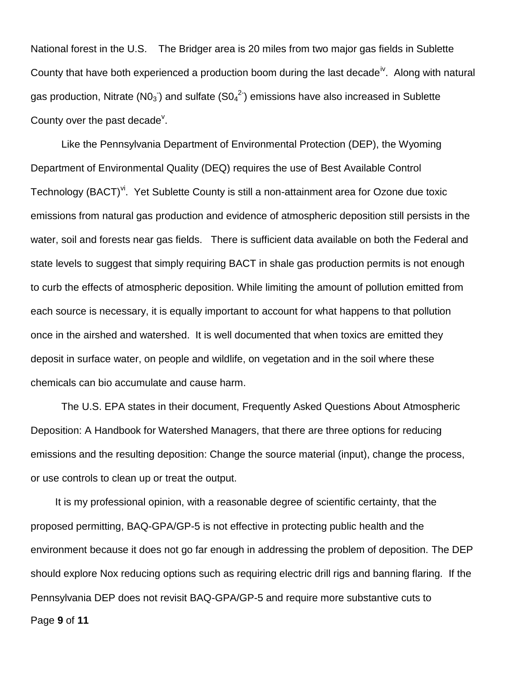National forest in the U.S. The Bridger area is 20 miles from two major gas fields in Sublette County that have both experienced a production boom during the last decade<sup> $v$ </sup>. Along with natural gas production, Nitrate (N0<sub>3</sub><sup>-</sup>) and sulfate (S0<sub>4</sub><sup>2-</sup>) emissions have also increased in Sublette County over the past decade<sup>v</sup>.

Like the Pennsylvania Department of Environmental Protection (DEP), the Wyoming Department of Environmental Quality (DEQ) requires the use of Best Available Control Technology (BACT)<sup>vi</sup>. Yet Sublette County is still a non-attainment area for Ozone due toxic emissions from natural gas production and evidence of atmospheric deposition still persists in the water, soil and forests near gas fields. There is sufficient data available on both the Federal and state levels to suggest that simply requiring BACT in shale gas production permits is not enough to curb the effects of atmospheric deposition. While limiting the amount of pollution emitted from each source is necessary, it is equally important to account for what happens to that pollution once in the airshed and watershed. It is well documented that when toxics are emitted they deposit in surface water, on people and wildlife, on vegetation and in the soil where these chemicals can bio accumulate and cause harm.

The U.S. EPA states in their document, Frequently Asked Questions About Atmospheric Deposition: A Handbook for Watershed Managers, that there are three options for reducing emissions and the resulting deposition: Change the source material (input), change the process, or use controls to clean up or treat the output.

Page **9** of **11** It is my professional opinion, with a reasonable degree of scientific certainty, that the proposed permitting, BAQ-GPA/GP-5 is not effective in protecting public health and the environment because it does not go far enough in addressing the problem of deposition. The DEP should explore Nox reducing options such as requiring electric drill rigs and banning flaring. If the Pennsylvania DEP does not revisit BAQ-GPA/GP-5 and require more substantive cuts to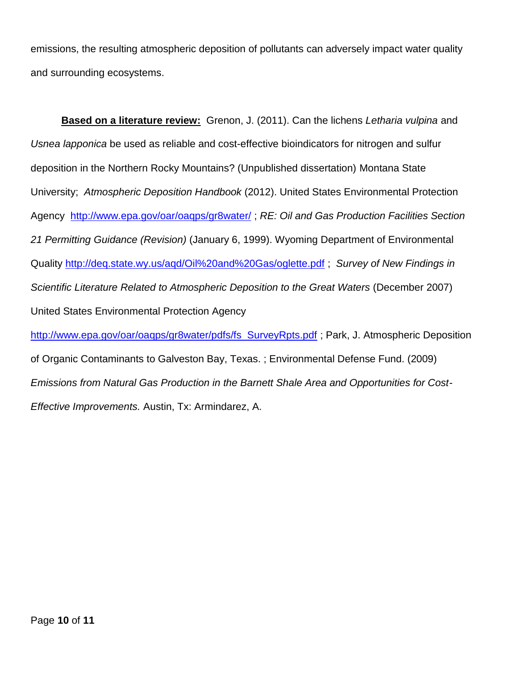emissions, the resulting atmospheric deposition of pollutants can adversely impact water quality and surrounding ecosystems.

**Based on a literature review:** Grenon, J. (2011). Can the lichens *Letharia vulpina* and *Usnea lapponica* be used as reliable and cost-effective bioindicators for nitrogen and sulfur deposition in the Northern Rocky Mountains? (Unpublished dissertation) Montana State University; *Atmospheric Deposition Handbook* (2012). United States Environmental Protection Agency <http://www.epa.gov/oar/oaqps/gr8water/> ; *RE: Oil and Gas Production Facilities Section 21 Permitting Guidance (Revision)* (January 6, 1999). Wyoming Department of Environmental Quality<http://deq.state.wy.us/aqd/Oil%20and%20Gas/oglette.pdf> ; *Survey of New Findings in Scientific Literature Related to Atmospheric Deposition to the Great Waters* (December 2007) United States Environmental Protection Agency [http://www.epa.gov/oar/oaqps/gr8water/pdfs/fs\\_SurveyRpts.pdf](http://www.epa.gov/oar/oaqps/gr8water/pdfs/fs_SurveyRpts.pdf) ; Park, J. Atmospheric Deposition of Organic Contaminants to Galveston Bay, Texas. ; Environmental Defense Fund. (2009) *Emissions from Natural Gas Production in the Barnett Shale Area and Opportunities for Cost-*

*Effective Improvements.* Austin, Tx: Armindarez, A.